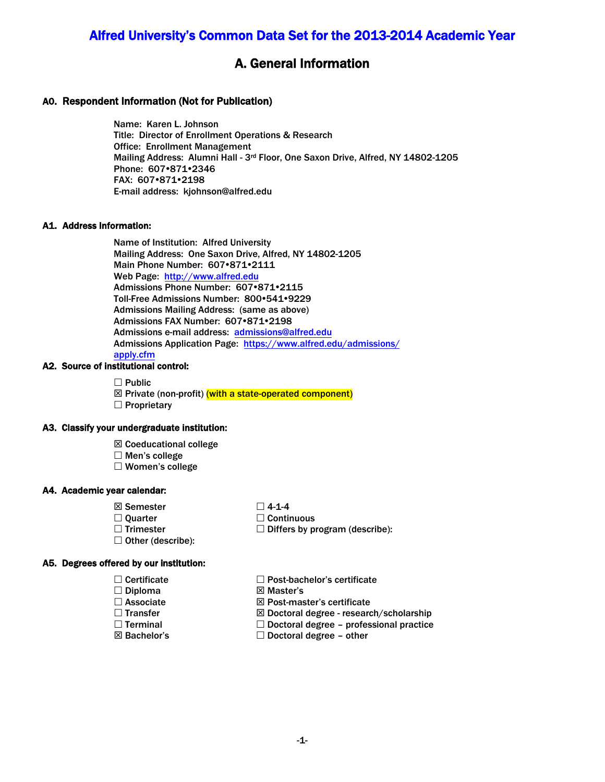# Alfred University's Common Data Set for the 2013-2014 Academic Year

# A. General Information

### A0. Respondent Information (Not for Publication)

Name: Karen L. Johnson Title: Director of Enrollment Operations & Research Office: Enrollment Management Mailing Address: Alumni Hall - 3rd Floor, One Saxon Drive, Alfred, NY 14802-1205 Phone: 607 • 871 • 2346 FAX: 607 .871 .2198 E-mail address: [kjohnson@alfred.edu](mailto:kjohnson@alfred.edu)

#### A1. Address Information:

 Mailing Address: One Saxon Drive, Alfred, NY 14802-1205 Name of Institution: Alfred University Main Phone Number: 607 .871 .2111 Web Page: [http://www.alfred.edu](http://www.alfred.edu/)  Admissions Phone Number: 607.871.2115 Toll-Free Admissions Number: 800•541•9229 Admissions Mailing Address: (same as above) Admissions FAX Number: 607 .871 .2198 Admissions e-mail address: [admissions@alfred.edu](mailto:admissions@alfred.edu)  Admissions Application Page: [https://www.alfred.edu/admissions/](http://www.alfred.edu/admissions/apply/) apply.cfm

### A2. Source of institutional control:

- $\Box$  Public
- ⊠ Private (non-profit) (with a state-operated component)  $\square$  Proprietary

#### A3. Classify your undergraduate institution:

- $\boxtimes$  Coeducational college
- $\Box$  Men's college
- Women's college

#### A4. Academic year calendar:

- ⊠ Semester
- $\Box$  Ouarter
- $\Box$  Trimester
- $\Box$  Other (describe):
- $\Box$  4-1-4  $\square$  Continuous  $\square$  Differs by program (describe):
- A5. Degrees offered by our institution:
	- $\Box$  Certificate
	- $\square$  Diploma
	- Associate
	- □ Transfer
	- $\square$  Terminal
	- Bachelor's
- Post-bachelor's certificate
- **⊠** Master's
- $\boxtimes$  Post-master's certificate
- Doctoral degree research/scholarship
- $\square$  Doctoral degree professional practice
- $\Box$  Doctoral degree other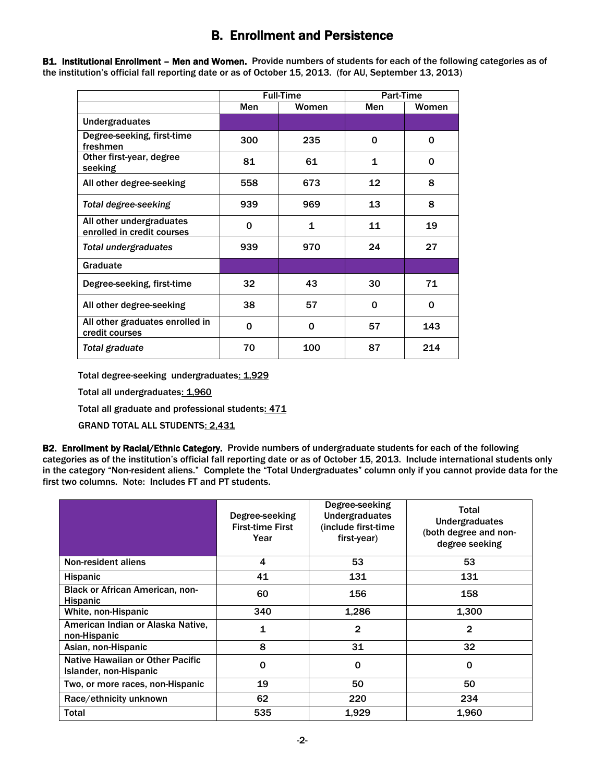# B. Enrollment and Persistence

B1. Institutional Enrollment - Men and Women. Provide numbers of students for each of the following categories as of the institution's official fall reporting date or as of October 15, 2013. (for AU, September 13, 2013)

|                                                        |     | <b>Full-Time</b> | <b>Part-Time</b> |       |
|--------------------------------------------------------|-----|------------------|------------------|-------|
|                                                        | Men | Women            | Men              | Women |
| <b>Undergraduates</b>                                  |     |                  |                  |       |
| Degree-seeking, first-time<br>freshmen                 | 300 | 235              | 0                | 0     |
| Other first-year, degree<br>seeking                    | 81  | 61               | 1                | 0     |
| All other degree-seeking                               | 558 | 673              | 12               | 8     |
| <b>Total degree-seeking</b>                            | 939 | 969              | 13               | 8     |
| All other undergraduates<br>enrolled in credit courses | 0   | 1                | 11               | 19    |
| <b>Total undergraduates</b>                            | 939 | 970              | 24               | 27    |
| Graduate                                               |     |                  |                  |       |
| Degree-seeking, first-time                             | 32  | 43               | 30               | 71    |
| All other degree-seeking                               | 38  | 57               | 0                | 0     |
| All other graduates enrolled in<br>credit courses      | 0   | $\Omega$         | 57               | 143   |
| Total graduate                                         | 70  | 100              | 87               | 214   |

Total degree-seeking undergraduates: 1,929

Total all undergraduates: 1,960

Total all undergraduates<u>: 1,960</u><br>Total all graduate and professional students<u>: 471</u>

GRAND TOTAL ALL STUDENTS: 2,431

B2. Enrollment by Racial/Ethnic Category. Provide numbers of undergraduate students for each of the following categories as of the institution's official fall reporting date or as of October 15, 2013. Include international students only in the category "Non-resident aliens." Complete the "Total Undergraduates" column only if you cannot provide data for the first two columns. Note: Includes FT and PT students.

|                                                            | Degree-seeking<br><b>First-time First</b><br>Year | Degree-seeking<br><b>Undergraduates</b><br>(include first-time)<br>first-year) | Total<br><b>Undergraduates</b><br>(both degree and non-<br>degree seeking |
|------------------------------------------------------------|---------------------------------------------------|--------------------------------------------------------------------------------|---------------------------------------------------------------------------|
| Non-resident aliens                                        | 4                                                 | 53                                                                             | 53                                                                        |
| <b>Hispanic</b>                                            | 41                                                | 131                                                                            | 131                                                                       |
| <b>Black or African American, non-</b><br><b>Hispanic</b>  | 60                                                | 156                                                                            | 158                                                                       |
| White, non-Hispanic                                        | 340                                               | 1,286                                                                          | 1,300                                                                     |
| American Indian or Alaska Native.<br>non-Hispanic          | $\mathbf{1}$                                      | 2                                                                              | $\mathbf{2}$                                                              |
| Asian, non-Hispanic                                        | 8                                                 | 31                                                                             | 32                                                                        |
| Native Hawaiian or Other Pacific<br>Islander, non-Hispanic | 0                                                 | 0                                                                              | $\mathbf 0$                                                               |
| Two, or more races, non-Hispanic                           | 19                                                | 50                                                                             | 50                                                                        |
| Race/ethnicity unknown                                     | 62                                                | 220                                                                            | 234                                                                       |
| Total                                                      | 535                                               | 1.929                                                                          | 1,960                                                                     |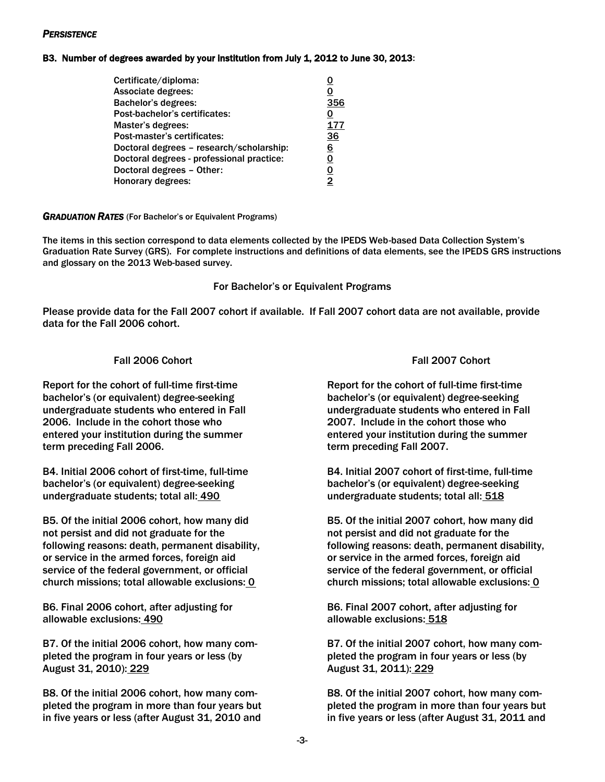### *PERSISTENCE*

### B3. Number of degrees awarded by your institution from July 1, 2012 to June 30, 2013:

| Certificate/diploma:                      |     |
|-------------------------------------------|-----|
| Associate degrees:                        | 0   |
| <b>Bachelor's degrees:</b>                | 356 |
| Post-bachelor's certificates:             | 0   |
| Master's degrees:                         | 177 |
| Post-master's certificates:               | 36  |
| Doctoral degrees - research/scholarship:  | 6   |
| Doctoral degrees - professional practice: | 0   |
| Doctoral degrees - Other:                 | 0   |
| Honorary degrees:                         | 2   |

#### *GRADUATION RATES* (For Bachelor's or Equivalent Programs)

 The items in this section correspond to data elements collected by the IPEDS Web-based Data Collection System's Graduation Rate Survey (GRS). For complete instructions and definitions of data elements, see the IPEDS GRS instructions and glossary on the 2013 Web-based survey.

#### For Bachelor's or Equivalent Programs

 Please provide data for the Fall 2007 cohort if available. If Fall 2007 cohort data are not available, provide data for the Fall 2006 cohort.

# Fall 2006 Cohort Fall 2007 Cohort

bachelor's (or equivalent) degree-seeking undergraduate students who entered in Fall 2006. Include in the cohort those who entered your institution during the summer entered your institution during the summer term preceding Fall 2006. Report for the cohort of full-time first-time Report for the cohort of full-time first-time

B4. Initial 2006 cohort of first-time, full-time bachelor's (or equivalent) degree-seeking undergraduate students; total all: 490

B5. Of the initial 2006 cohort, how many did not persist and did not graduate for the following reasons: death, permanent disability, or service in the armed forces, foreign aid service of the federal government, or official church missions; total allowable exclusions: 0

B6. Final 2006 cohort, after adjusting for allowable exclusions: 490

B7. Of the initial 2006 cohort, how many com-<br>B7. Of the initial 2007 cohort, how many completed the program in four years or less (by August 31, 2010): 229

B8. Of the initial 2006 cohort, how many com-<br>B8. Of the initial 2007 cohort, how many completed the program in more than four years but in five years or less (after August 31, 2010 and

bachelor's (or equivalent) degree-seeking bachelor's (or equivalent) degree-seeking undergraduate students who entered in Fall undergraduate students who entered in Fall 2007. Include in the cohort those who term preceding Fall 2007.

B4. Initial 2007 cohort of first-time, full-time bachelor's (or equivalent) degree-seeking bachelor's (or equivalent) degree-seeking undergraduate students; total all: 518

B5. Of the initial 2007 cohort, how many did not persist and did not graduate for the following reasons: death, permanent disability, or service in the armed forces, foreign aid service of the federal government, or official church missions; total allowable exclusions: 0

B6. Final 2007 cohort, after adjusting for allowable exclusions: 518

pleted the program in four years or less (by August 31, 2011): 229

pleted the program in more than four years but in five years or less (after August 31, 2011 and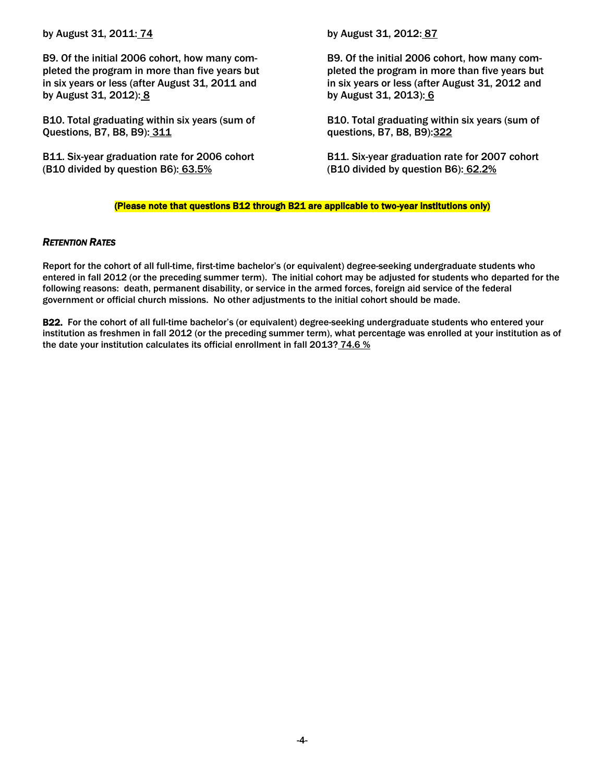by August 31, 2011: 74

B9. Of the initial 2006 cohort, how many com-<br>B9. Of the initial 2006 cohort, how many completed the program in more than five years but in six years or less (after August 31, 2011 and in six years or less (after August 31, 2012 and by August 31, 2012): 8 by August 31, 2013): 6

B10. Total graduating within six years (sum of Questions, B7, B8, B9): 311 contracts and the set of the set of the questions, B7, B8, B9): 322

B11. Six-year graduation rate for 2006 cohort (B10 divided by question B6): 63.5%

by August 31, 2012: 87

pleted the program in more than five years but

B10. Total graduating within six years (sum of

B11. Six-year graduation rate for 2007 cohort (B10 divided by question B6):  $62.2%$ 

#### (Please note that questions B12 through B21 are applicable to two-year institutions only)

#### *RETENTION RATES*

 Report for the cohort of all full-time, first-time bachelor's (or equivalent) degree-seeking undergraduate students who entered in fall 2012 (or the preceding summer term). The initial cohort may be adjusted for students who departed for the following reasons: death, permanent disability, or service in the armed forces, foreign aid service of the federal government or official church missions. No other adjustments to the initial cohort should be made.

B22. For the cohort of all full-time bachelor's (or equivalent) degree-seeking undergraduate students who entered your institution as freshmen in fall 2012 (or the preceding summer term), what percentage was enrolled at your institution as of the date your institution calculates its official enrollment in fall 2013?  $\frac{74.6}{ }$  %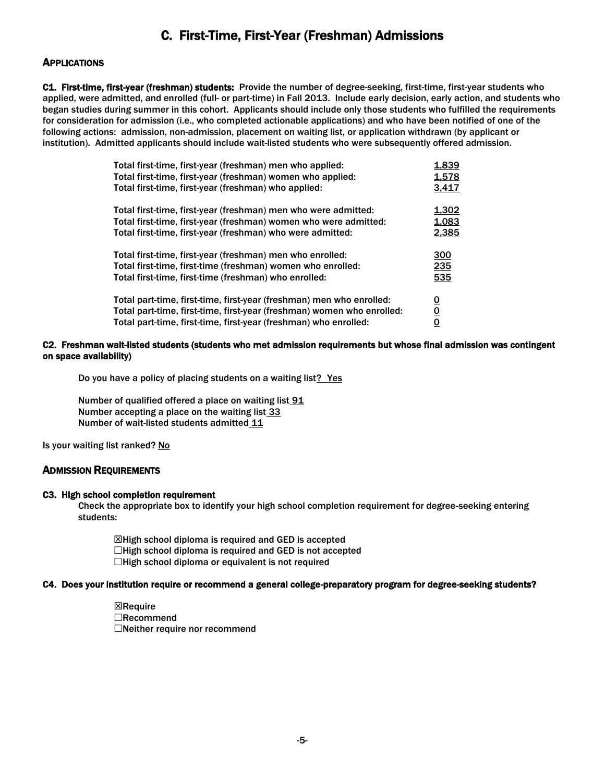# C. First-Time, First-Year (Freshman) Admissions

# **APPLICATIONS**

C1. First-time, first-year (freshman) students: Provide the number of degree-seeking, first-time, first-year students who applied, were admitted, and enrolled (full- or part-time) in Fall 2013. Include early decision, early action, and students who began studies during summer in this cohort. Applicants should include only those students who fulfilled the requirements for consideration for admission (i.e., who completed actionable applications) and who have been notified of one of the following actions: admission, non-admission, placement on waiting list, or application withdrawn (by applicant or institution). Admitted applicants should include wait-listed students who were subsequently offered admission.

| Total first-time, first-year (freshman) men who applied:                                                                           | 1,839                   |
|------------------------------------------------------------------------------------------------------------------------------------|-------------------------|
| Total first-time, first-year (freshman) women who applied:                                                                         | 1,578                   |
| Total first-time, first-year (freshman) who applied:                                                                               | 3,417                   |
| Total first-time, first-year (freshman) men who were admitted:<br>Total first-time, first-year (freshman) women who were admitted: | 1,302<br>1,083          |
| Total first-time, first-year (freshman) who were admitted:<br>Total first-time, first-year (freshman) men who enrolled:            | 2,385<br>300            |
| Total first-time, first-time (freshman) women who enrolled:                                                                        | 235                     |
| Total first-time, first-time (freshman) who enrolled:                                                                              | 535                     |
| Total part-time, first-time, first-year (freshman) men who enrolled:                                                               | <u>0</u>                |
| Total part-time, first-time, first-year (freshman) women who enrolled:                                                             | $\overline{\mathbf{0}}$ |
| Total part-time, first-time, first-year (freshman) who enrolled:                                                                   | $\overline{0}$          |

#### C2. Freshman wait-listed students (students who met admission requirements but whose final admission was contingent on space availability)

Do you have a policy of placing students on a waiting list? Yes

Number of qualified offered a place on waiting list 91 Number accepting a place on the waiting list 33 Number of wait-listed students admitted 11

Is your waiting list ranked? No

# ADMISSION REQUIREMENTS

#### C3. High school completion requirement

 Check the appropriate box to identify your high school completion requirement for degree-seeking entering students:

⊠High school diploma is required and GED is accepted  $\Box$ High school diploma is required and GED is not accepted  $\Box$ High school diploma or equivalent is not required

#### C4. Does your institution require or recommend a general college-preparatory program for degree-seeking students?

 $\boxtimes$ Require Recommend Neither require nor recommend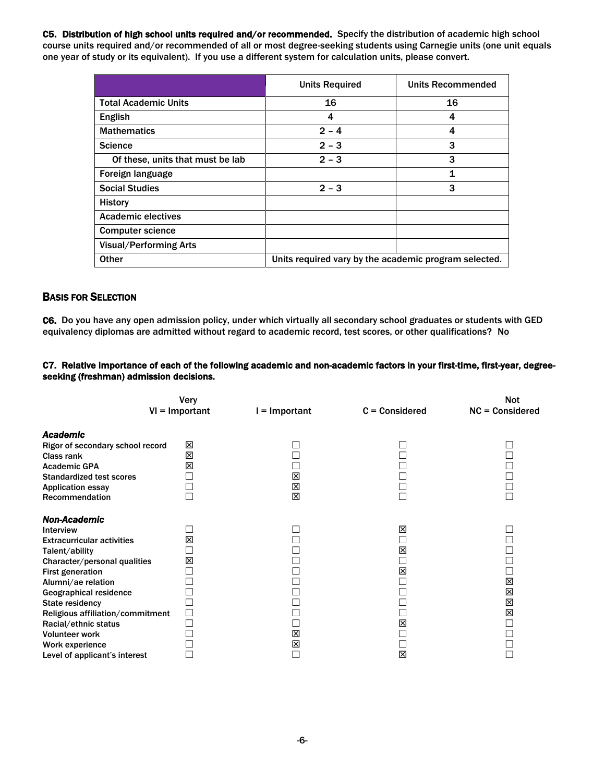C5. Distribution of high school units required and/or recommended. Specify the distribution of academic high school course units required and/or recommended of all or most degree-seeking students using Carnegie units (one unit equals one year of study or its equivalent). If you use a different system for calculation units, please convert.

|                                  | <b>Units Required</b>                                 | <b>Units Recommended</b> |  |
|----------------------------------|-------------------------------------------------------|--------------------------|--|
| <b>Total Academic Units</b>      | 16                                                    | 16                       |  |
| English                          | 4                                                     | 4                        |  |
| <b>Mathematics</b>               | $2 - 4$                                               | 4                        |  |
| <b>Science</b>                   | $2 - 3$                                               | 3                        |  |
| Of these, units that must be lab | $2 - 3$                                               | 3                        |  |
| Foreign language                 |                                                       | 1                        |  |
| <b>Social Studies</b>            | $2 - 3$                                               | 3                        |  |
| <b>History</b>                   |                                                       |                          |  |
| <b>Academic electives</b>        |                                                       |                          |  |
| <b>Computer science</b>          |                                                       |                          |  |
| <b>Visual/Performing Arts</b>    |                                                       |                          |  |
| <b>Other</b>                     | Units required vary by the academic program selected. |                          |  |

# BASIS FOR SELECTION

 C6. Do you have any open admission policy, under which virtually all secondary school graduates or students with GED equivalency diplomas are admitted without regard to academic record, test scores, or other qualifications? No

#### C7. Relative importance of each of the following academic and non-academic factors in your first-time, first-year, degreeseeking (freshman) admission decisions.

|                                                                                                                                                                                                                                                                                                                                                                       | Very<br>$VI = Important$ | = Important      | $C = Considered$      | <b>Not</b><br>$NC = Considered$ |
|-----------------------------------------------------------------------------------------------------------------------------------------------------------------------------------------------------------------------------------------------------------------------------------------------------------------------------------------------------------------------|--------------------------|------------------|-----------------------|---------------------------------|
| <b>Academic</b><br>Rigor of secondary school record<br>Class rank<br><b>Academic GPA</b><br><b>Standardized test scores</b><br><b>Application essay</b><br>Recommendation                                                                                                                                                                                             | ⊠<br>図<br>図              | ٦<br>⊠<br>区<br>区 |                       |                                 |
| <b>Non-Academic</b><br>Interview<br><b>Extracurricular activities</b><br>Talent/ability<br>Character/personal qualities<br><b>First generation</b><br>Alumni/ae relation<br>Geographical residence<br><b>State residency</b><br>Religious affiliation/commitment<br>Racial/ethnic status<br><b>Volunteer work</b><br>Work experience<br>Level of applicant's interest | 図<br>図<br>$\Box$         | 図<br>図<br>┑      | 図<br>図<br>区<br>区<br>図 | 区<br>X<br>図<br>X                |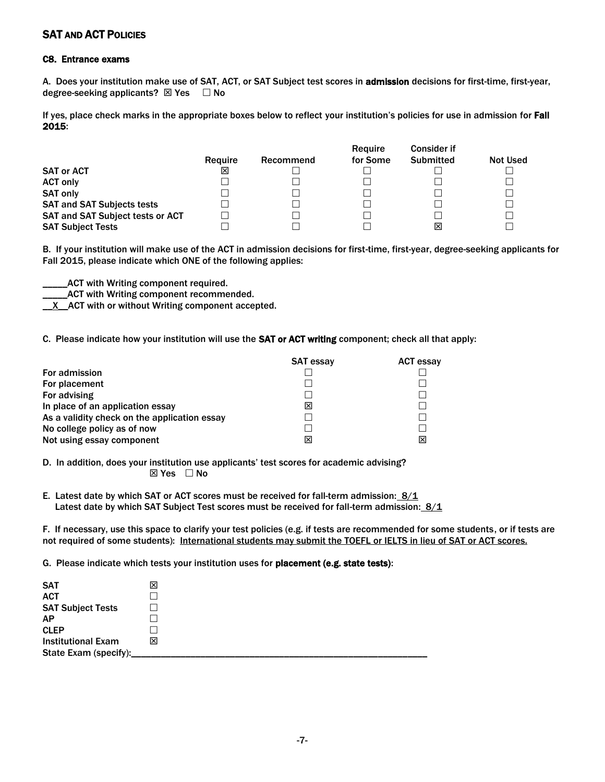# SAT AND ACT POLICIES

#### C8. Entrance exams

A. Does your institution make use of SAT, ACT, or SAT Subject test scores in admission decisions for first-time, first-year, degree-seeking applicants?  $\boxtimes$  Yes  $\Box$  No

If yes, place check marks in the appropriate boxes below to reflect your institution's policies for use in admission for Fall 2015:

|                                         |         |           | Require  | <b>Consider if</b> |                 |
|-----------------------------------------|---------|-----------|----------|--------------------|-----------------|
|                                         | Require | Recommend | for Some | <b>Submitted</b>   | <b>Not Used</b> |
| <b>SAT or ACT</b>                       | ⊠       |           |          |                    |                 |
| <b>ACT only</b>                         |         |           |          |                    |                 |
| <b>SAT only</b>                         |         |           |          |                    |                 |
| <b>SAT and SAT Subjects tests</b>       |         |           |          |                    |                 |
| <b>SAT and SAT Subject tests or ACT</b> |         |           |          |                    |                 |
| <b>SAT Subject Tests</b>                |         |           |          | ⊠                  |                 |

 B. If your institution will make use of the ACT in admission decisions for first-time, first-year, degree-seeking applicants for Fall 2015, please indicate which ONE of the following applies:

\_\_\_\_\_ACT with Writing component required.

\_ACT with Writing component recommended.

**K\_X\_ACT** with or without Writing component accepted.

C. Please indicate how your institution will use the SAT or ACT writing component; check all that apply:

|                                              | <b>SAT essay</b> | <b>ACT essay</b> |
|----------------------------------------------|------------------|------------------|
| <b>For admission</b>                         |                  |                  |
| For placement                                |                  |                  |
| For advising                                 |                  |                  |
| In place of an application essay             | ⊠                |                  |
| As a validity check on the application essay |                  |                  |
| No college policy as of now                  |                  |                  |
| Not using essay component                    | ⊠                | Ι×               |

 D. In addition, does your institution use applicants' test scores for academic advising?  $\boxtimes$  Yes  $\Box$  No

E. Latest date by which SAT or ACT scores must be received for fall-term admission:  $\frac{8}{1}$ Latest date by which SAT Subject Test scores must be received for fall-term admission: 8/1

 F. If necessary, use this space to clarify your test policies (e.g. if tests are recommended for some students, or if tests are not required of some students): International students may submit the TOEFL or IELTS in lieu of SAT or ACT scores.

G. Please indicate which tests your institution uses for placement (e.g. state tests):

| <b>SAT</b><br><b>ACT</b>                             | ⊠ |
|------------------------------------------------------|---|
| <b>SAT Subject Tests</b><br><b>AP</b><br><b>CLEP</b> |   |
| <b>Institutional Exam</b><br>State Exam (specify):   | ⊠ |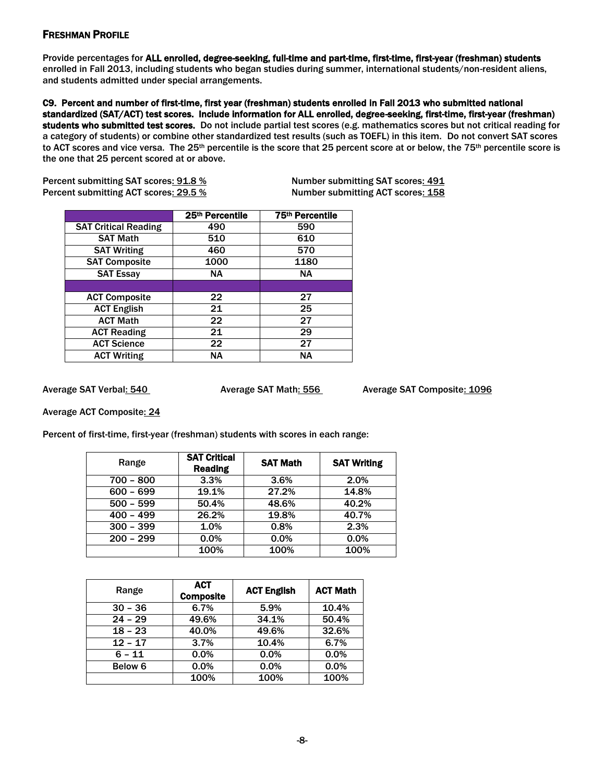# FRESHMAN PROFILE

Provide percentages for ALL enrolled, degree-seeking, full-time and part-time, first-time, first-year (freshman) students enrolled in Fall 2013, including students who began studies during summer, international students/non-resident aliens, and students admitted under special arrangements.

 C9. Percent and number of first-time, first year (freshman) students enrolled in Fall 2013 who submitted national standardized (SAT/ACT) test scores. Include information for ALL enrolled, degree-seeking, first-time, first-year (freshman) students who submitted test scores. Do not include partial test scores (e.g. mathematics scores but not critical reading for a category of students) or combine other standardized test results (such as TOEFL) in this item. Do not convert SAT scores to ACT scores and vice versa. The 25<sup>th</sup> percentile is the score that 25 percent score at or below, the 75<sup>th</sup> percentile score is the one that 25 percent scored at or above.

Percent submitting SAT scores<u>: 91.8 % Number submitting SAT scores: 491</u> Percent submitting ACT scores<u>: 29.5 % Number submitting ACT scores: 158</u>

|                             | 25th Percentile | 75th Percentile |
|-----------------------------|-----------------|-----------------|
| <b>SAT Critical Reading</b> | 490             | 590             |
| <b>SAT Math</b>             | 510             | 610             |
| <b>SAT Writing</b>          | 460             | 570             |
| <b>SAT Composite</b>        | 1000            | 1180            |
| <b>SAT Essay</b>            | ΝA.             | <b>NA</b>       |
|                             |                 |                 |
| <b>ACT Composite</b>        | 22              | 27              |
| <b>ACT English</b>          | 21              | 25              |
| <b>ACT Math</b>             | 22              | 27              |
| <b>ACT Reading</b>          | 21              | 29              |
| <b>ACT Science</b>          | 22              | 27              |
| <b>ACT Writing</b>          | <b>NA</b>       | <b>NA</b>       |

Average SAT Verbal: 540

Average SAT Math: 556 Average SAT Composite: 1096

Average ACT Composite: 24

Percent of first-time, first-year (freshman) students with scores in each range:

| Range       | <b>SAT Critical</b><br><b>Reading</b> | <b>SAT Math</b> | <b>SAT Writing</b> |
|-------------|---------------------------------------|-----------------|--------------------|
| $700 - 800$ | 3.3%                                  | 3.6%            | 2.0%               |
| $600 - 699$ | 19.1%                                 | 27.2%           | 14.8%              |
| $500 - 599$ | 50.4%                                 | 48.6%           | 40.2%              |
| $400 - 499$ | 26.2%                                 | 19.8%           | 40.7%              |
| $300 - 399$ | 1.0%                                  | 0.8%            | 2.3%               |
| $200 - 299$ | 0.0%                                  | 0.0%            | 0.0%               |
|             | 100%                                  | 100%            | 100%               |

| Range              | <b>ACT</b><br><b>Composite</b> | <b>ACT English</b> | <b>ACT Math</b> |
|--------------------|--------------------------------|--------------------|-----------------|
| $30 - 36$          | 6.7%                           | 5.9%               | 10.4%           |
| $24 - 29$          | 49.6%                          | 34.1%              | 50.4%           |
| $18 - 23$          | 40.0%                          | 49.6%              | 32.6%           |
| $12 - 17$          | 3.7%                           | 10.4%              | 6.7%            |
| $6 - 11$           | 0.0%                           | 0.0%               | 0.0%            |
| Below <sub>6</sub> | 0.0%                           | 0.0%               | 0.0%            |
|                    | 100%                           | 100%               | 100%            |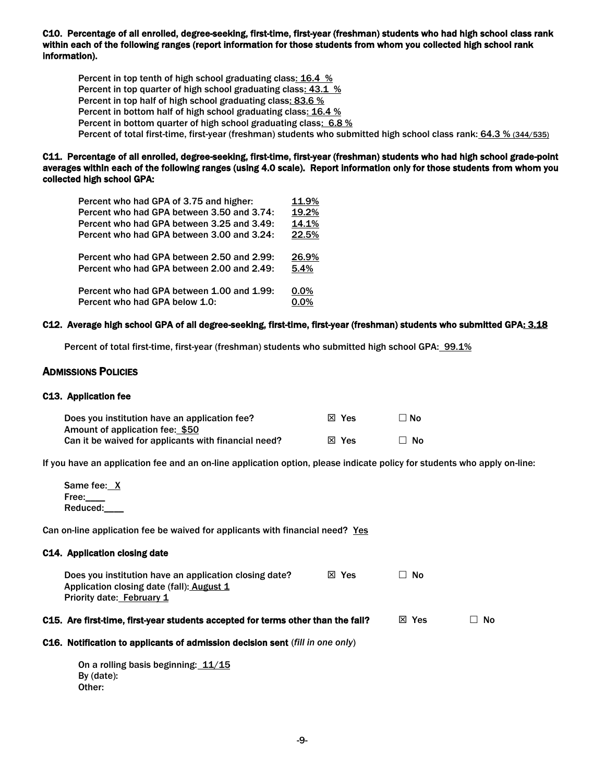C10. Percentage of all enrolled, degree-seeking, first-time, first-year (freshman) students who had high school class rank within each of the following ranges (report information for those students from whom you collected high school rank information).

Percent in top tenth of high school graduating class: 16.4 % Percent in top quarter of high school graduating class: 43.1 % Percent in top half of high school graduating class: 83.6 % Percent in bottom half of high school graduating class: 16.4 % Percent in bottom quarter of high school graduating class: 6.8 % Percent of total first-time, first-year (freshman) students who submitted high school class rank: 64.3 % (344/535)

#### C11. Percentage of all enrolled, degree-seeking, first-time, first-year (freshman) students who had high school grade-point averages within each of the following ranges (using 4.0 scale). Report information only for those students from whom you collected high school GPA:

| Percent who had GPA of 3.75 and higher:    | 11.9%   |
|--------------------------------------------|---------|
| Percent who had GPA between 3.50 and 3.74: | 19.2%   |
| Percent who had GPA between 3.25 and 3.49: | 14.1%   |
| Percent who had GPA between 3.00 and 3.24: | 22.5%   |
| Percent who had GPA between 2.50 and 2.99: | 26.9%   |
| Percent who had GPA between 2.00 and 2.49: | 5.4%    |
| Percent who had GPA between 1.00 and 1.99: | $0.0\%$ |
| Percent who had GPA below 1.0:             | 0.0%    |
|                                            |         |

#### C12. Average high school GPA of all degree-seeking, first-time, first-year (freshman) students who submitted GPA<u>: 3.18</u>

Percent of total first-time, first-year (freshman) students who submitted high school GPA: 99.1%

#### ADMISSIONS POLICIES

#### C13. Application fee

| Does you institution have an application fee?        | ⊠ Yes | □ No      |
|------------------------------------------------------|-------|-----------|
| Amount of application fee: \$50                      |       |           |
| Can it be waived for applicants with financial need? | ⊠ Yes | $\Box$ No |

If you have an application fee and an on-line application option, please indicate policy for students who apply on-line:

Same fee: X Free: Reduced:\_\_\_\_

Can on-line application fee be waived for applicants with financial need? Yes

#### C14. Application closing date

| Does you institution have an application closing date? | $X$ Yes | ∐ No |
|--------------------------------------------------------|---------|------|
| Application closing date (fall): August 1              |         |      |
| Priority date: February 1                              |         |      |

#### C15. Are first-time, first-year students accepted for terms other than the fall?  $\hskip10mm \boxtimes$  Yes  $\hskip10mm \square$  No

#### C16. Notification to applicants of admission decision sent (*fill in one only*)

On a rolling basis beginning: 11/15 By (date): Other: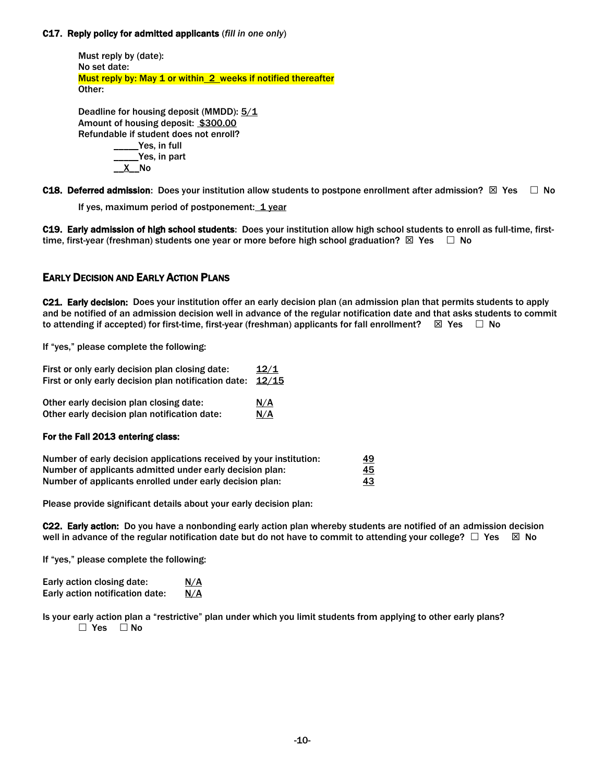#### C17. Reply policy for admitted applicants (*fill in one only*)

 Must reply by (date): No set date: Must reply by: May 1 or within 2 weeks if notified thereafter Other:

Deadline for housing deposit (MMDD):  $5/1$ Amount of housing deposit: \$300.00 Refundable if student does not enroll? \_\_\_\_\_Yes, in full \_\_\_\_\_Yes, in part \_\_X\_\_No

C18. Deferred admission: Does your institution allow students to postpone enrollment after admission?  $\boxtimes$  Yes  $\quad \Box$  No

If yes, maximum period of postponement:  $1$  year

C19. Early admission of high school students: Does your institution allow high school students to enroll as full-time, firsttime, first-year (freshman) students one year or more before high school graduation?  $\boxtimes$  Yes  $\quad \Box$  No

# EARLY DECISION AND EARLY ACTION PLANS

C21. Early decision: Does your institution offer an early decision plan (an admission plan that permits students to apply and be notified of an admission decision well in advance of the regular notification date and that asks students to commit to attending if accepted) for first-time, first-year (freshman) applicants for fall enrollment?  $\quad \boxtimes \; \text{Yes} \quad \Box \; \text{No}$ 

If "yes," please complete the following:

| First or only early decision plan closing date:      | 12/1  |
|------------------------------------------------------|-------|
| First or only early decision plan notification date: | 12/15 |
| Other early decision plan closing date:              | N/A   |
| Other early decision plan notification date:         | N/A   |
| For the Fall 2013 entering class:                    |       |

| Number of early decision applications received by your institution: | <u>49</u> |
|---------------------------------------------------------------------|-----------|
| Number of applicants admitted under early decision plan:            | 45        |
| Number of applicants enrolled under early decision plan:            | <u>43</u> |

Please provide significant details about your early decision plan:

C22. Early action: Do you have a nonbonding early action plan whereby students are notified of an admission decision well in advance of the regular notification date but do not have to commit to attending your college?  $\Box$  Yes  $\Box$  No

If "yes," please complete the following:

| Early action closing date:      | <u>N/A</u> |
|---------------------------------|------------|
| Early action notification date: | <u>N/A</u> |

 Is your early action plan a "restrictive" plan under which you limit students from applying to other early plans?  $\Box$  Yes  $\Box$  No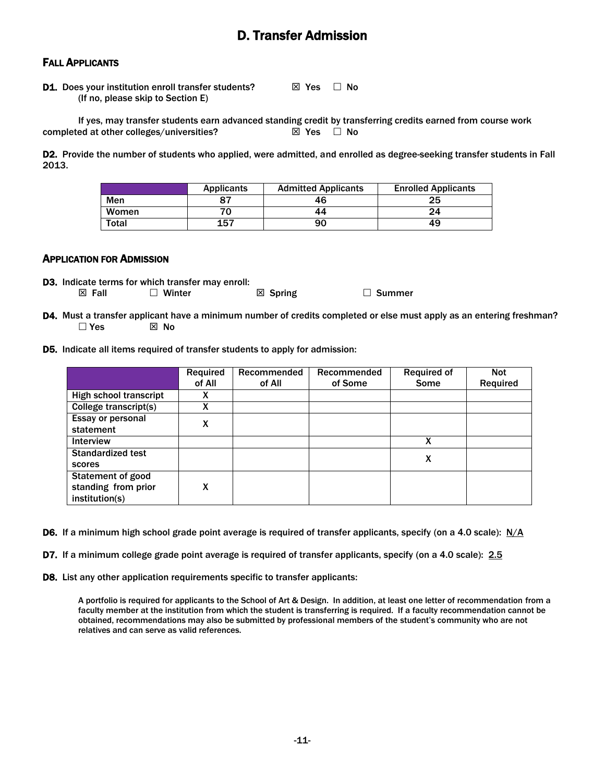# D. Transfer Admission

### FALL APPLICANTS

**D1.** Does your institution enroll transfer students?  $\boxtimes$  Yes  $\Box$  No (If no, please skip to Section E)

completed at other colleges/universities?  $\boxtimes$  Yes  $\Box$  No If yes, may transfer students earn advanced standing credit by transferring credits earned from course work<br>ed at other colleges/universities?<br> $\boxtimes$  Yes  $\Box$  No

D2. Provide the number of students who applied, were admitted, and enrolled as degree-seeking transfer students in Fall 2013.

|              | <b>Applicants</b> | <b>Admitted Applicants</b> | <b>Enrolled Applicants</b> |
|--------------|-------------------|----------------------------|----------------------------|
| Men          |                   | 46                         | 25                         |
| Women        |                   | 44                         | 24                         |
| <b>Total</b> | 157               | 90                         | 49                         |

#### APPLICATION FOR ADMISSION

D3. Indicate terms for which transfer may enroll:

 $\boxtimes$  Fall  $\Box$  Winter  $\boxtimes$  Spring  $\Box$  Summer

- D4. Must a transfer applicant have a minimum number of credits completed or else must apply as an entering freshman?  $\Box$  Yes  $\boxtimes$  No
- D5. Indicate all items required of transfer students to apply for admission:

|                          | Required | <b>Recommended</b> | Recommended | <b>Required of</b> | <b>Not</b> |
|--------------------------|----------|--------------------|-------------|--------------------|------------|
|                          | of All   | of All             | of Some     | Some               | Required   |
| High school transcript   | X        |                    |             |                    |            |
| College transcript(s)    | X        |                    |             |                    |            |
| Essay or personal        | X        |                    |             |                    |            |
| statement                |          |                    |             |                    |            |
| <b>Interview</b>         |          |                    |             | X                  |            |
| <b>Standardized test</b> |          |                    |             | X                  |            |
| scores                   |          |                    |             |                    |            |
| <b>Statement of good</b> |          |                    |             |                    |            |
| standing from prior      | X        |                    |             |                    |            |
| institution(s)           |          |                    |             |                    |            |

D6. If a minimum high school grade point average is required of transfer applicants, specify (on a 4.0 scale):  $N/A$ 

D7. If a minimum college grade point average is required of transfer applicants, specify (on a 4.0 scale): 2.5

D8. List any other application requirements specific to transfer applicants:

 A portfolio is required for applicants to the School of Art & Design. In addition, at least one letter of recommendation from a faculty member at the institution from which the student is transferring is required. If a faculty recommendation cannot be obtained, recommendations may also be submitted by professional members of the student's community who are not relatives and can serve as valid references.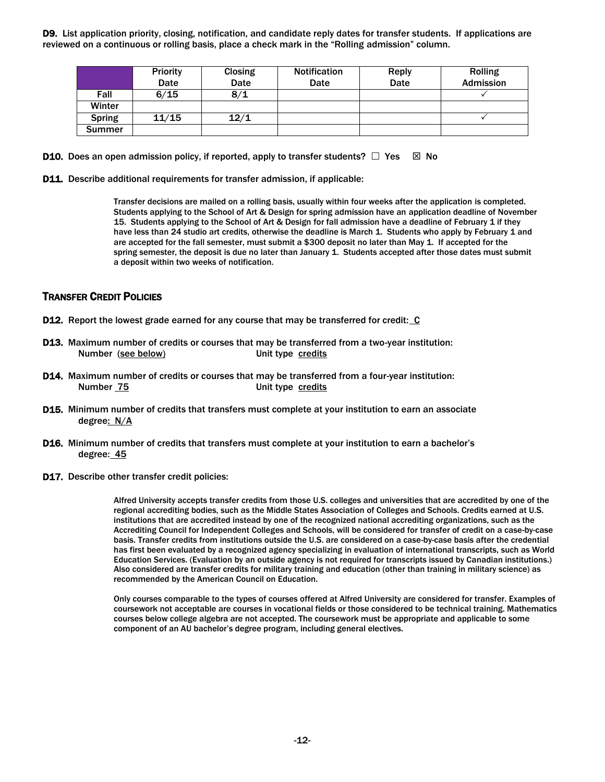D9. List application priority, closing, notification, and candidate reply dates for transfer students. If applications are reviewed on a continuous or rolling basis, place a check mark in the "Rolling admission" column.

|               | Priority | <b>Closing</b> | <b>Notification</b> | Reply | <b>Rolling</b> |
|---------------|----------|----------------|---------------------|-------|----------------|
|               | Date     | Date           | Date                | Date  | Admission      |
| Fall          | 6/15     | 8/1            |                     |       |                |
| Winter        |          |                |                     |       |                |
| <b>Spring</b> | 11/15    | 12/1           |                     |       |                |
| <b>Summer</b> |          |                |                     |       |                |

- **D10.** Does an open admission policy, if reported, apply to transfer students?  $\Box$  Yes  $\Box$  No
- D11. Describe additional requirements for transfer admission, if applicable:

 15. Students applying to the School of Art & Design for fall admission have a deadline of February 1 if they have less than 24 studio art credits, otherwise the deadline is March 1. Students who apply by February 1 and are accepted for the fall semester, must submit a \$300 deposit no later than May 1. If accepted for the spring semester, the deposit is due no later than January 1. Students accepted after those dates must submit a deposit within two weeks of notification. Transfer decisions are mailed on a rolling basis, usually within four weeks after the application is completed. Students applying to the School of Art & Design for spring admission have an application deadline of November

#### TRANSFER CREDIT POLICIES

- **D12.** Report the lowest grade earned for any course that may be transferred for credit:  $C$
- D13. Maximum number of credits or courses that may be transferred from a two-year institution: Number (see below) Unit type credits
- D14. Maximum number of credits or courses that may be transferred from a four-year institution: Number 75 Unit type credits
- D15. Minimum number of credits that transfers must complete at your institution to earn an associate degree: N/A
- D16. Minimum number of credits that transfers must complete at your institution to earn a bachelor's degree: 45
- D17. Describe other transfer credit policies:

 Alfred University accepts transfer credits from those U.S. colleges and universities that are accredited by one of the regional accrediting bodies, such as the Middle States Association of Colleges and Schools. Credits earned at U.S. institutions that are accredited instead by one of the recognized national accrediting organizations, such as the Accrediting Council for Independent Colleges and Schools, will be considered for transfer of credit on a case-by-case basis. Transfer credits from institutions outside the U.S. are considered on a case-by-case basis after the credential has first been evaluated by a recognized agency specializing in evaluation of international transcripts, such as World Education Services. (Evaluation by an outside agency is not required for transcripts issued by Canadian institutions.) Also considered are transfer credits for military training and education (other than training in military science) as recommended by the American Council on Education.

 Only courses comparable to the types of courses offered at Alfred University are considered for transfer. Examples of coursework not acceptable are courses in vocational fields or those considered to be technical training. Mathematics courses below college algebra are not accepted. The coursework must be appropriate and applicable to some component of an AU bachelor's degree program, including general electives.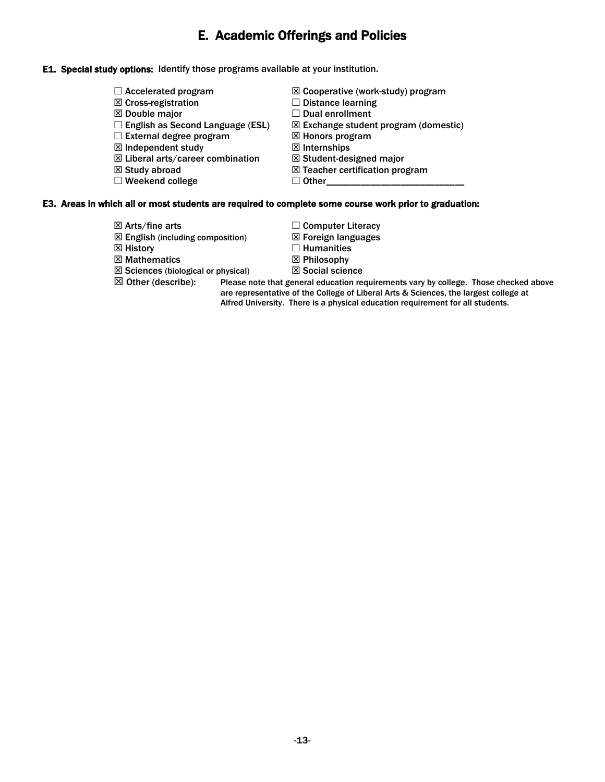# E. Academic Offerings and Policies

### E1. Special study options: Identify those programs available at your institution.

 $\Box$  Accelerated program **⊠** Cross-registration Double major  $\square$  English as Second Language (ESL)  $\square$  External degree program  $\boxtimes$  Independent study Liberal arts/career combination  $\boxtimes$  Study abroad  $\square$  Weekend college Cooperative (work-study) program  $\square$  Distance learning  $\square$  Dual enrollment  $\boxtimes$  Exchange student program (domestic) Honors program **⊠** Internships  $\boxtimes$  Student-designed major  $\boxtimes$  Teacher certification program  $\Box$  Other

#### E3. Areas in which all or most students are required to complete some course work prior to graduation:

- 
- $\boxtimes$  English (including composition)  $\boxtimes$  Foreign languages
- $\boxtimes$  History  $\Box$  Humanities
- $\boxtimes$  Mathematics  $\boxtimes$  Philosophy
- $\boxtimes$  Sciences (biological or physical)  $\boxtimes$  Social science
- 
- $\boxtimes$  Arts/fine arts  $\Box$  Computer Literacy
	-
	-
	-
	-

 $\boxtimes$  Other (describe): Please note that general education requirements vary by college. Those checked above are representative of the College of Liberal Arts & Sciences, the largest college at Alfred University. There is a physical education requirement for all students.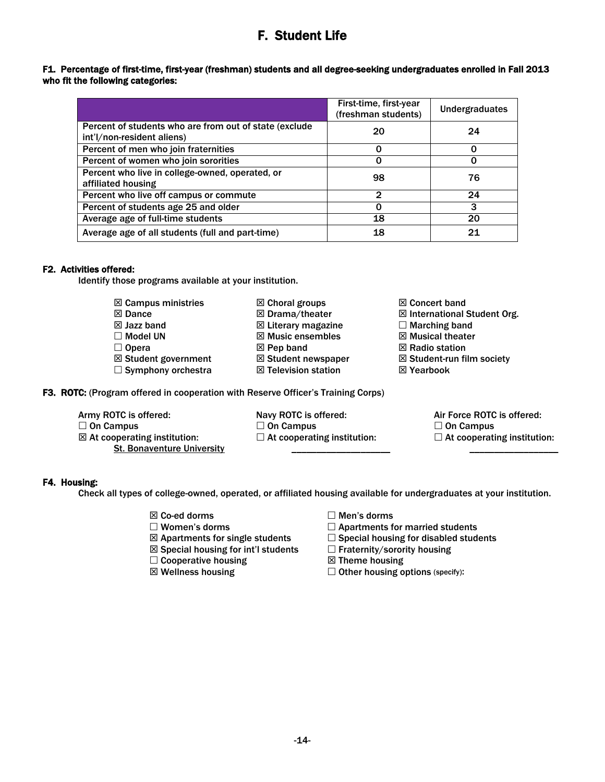# F. Student Life

### F1. Percentage of first-time, first-year (freshman) students and all degree-seeking undergraduates enrolled in Fall 2013 who fit the following categories:

|                                                        | First-time, first-year<br>(freshman students) | <b>Undergraduates</b> |
|--------------------------------------------------------|-----------------------------------------------|-----------------------|
| Percent of students who are from out of state (exclude | 20                                            | 24                    |
| int'l/non-resident aliens)                             |                                               |                       |
| Percent of men who join fraternities                   |                                               | ი                     |
| Percent of women who join sororities                   |                                               |                       |
| Percent who live in college-owned, operated, or        | 98                                            | 76                    |
| affiliated housing                                     |                                               |                       |
| Percent who live off campus or commute                 | $\mathbf{2}$                                  | 24                    |
| Percent of students age 25 and older                   |                                               | 3                     |
| Average age of full-time students                      | 18                                            | 20                    |
| Average age of all students (full and part-time)       | 18                                            | 21                    |

# F2. Activities offered:

Identify those programs available at your institution.

- $<sup>2</sup>$  Campus ministries</sup>
- $\boxtimes$  Dance
- Jazz band
- □ Model UN
- $\Box$  Opera
- 
- $\Box$  Symphony orchestra Student government
	-
	-
- ⊠ Drama/theater

 $\boxtimes$  Choral groups

- **E** Literary magazine
- $\boxtimes$  Music ensembles
- $\boxtimes$  Pep band
- $\boxtimes$  Student newspaper
- $\boxtimes$  Television station
- F3. ROTC: (Program offered in cooperation with Reserve Officer's Training Corps)
	- Army ROTC is offered:
	- $\square$  On Campus
	- $\boxtimes$  At cooperating institution: St. Bonaventure University
- Navy ROTC is offered:  $\square$  On Campus
- $\Box$  At cooperating institution: \_\_\_\_\_\_\_\_\_\_\_\_\_\_\_\_\_\_\_\_
- ⊠ Concert band
- International Student Org.
- $\Box$  Marching band
- $⊠$  **Musical theater**
- $\boxtimes$  Radio station
- $\boxtimes$  Student-run film society
- ⊠ Yearbook
	- Air Force ROTC is offered:  $\square$  On Campus  $\Box$  At cooperating institution:

\_\_\_\_\_\_\_\_\_\_\_\_\_\_\_\_\_\_

# F4. Housing:

Check all types of college-owned, operated, or affiliated housing available for undergraduates at your institution.

- 
- 
- 
- $\boxtimes$  Special housing for int'l students  $\Box$  Fraternity/sorority housing
- $\Box$  Cooperative housing  $\boxtimes$  Theme housing
- 
- $\boxtimes$  Co-ed dorms  $\Box$  Men's dorms
- $\square$  Women's dorms  $\square$  Apartments for married students
- $\boxtimes$  Apartments for single students  $\Box$  Special housing for disabled students
	-
	-
- $\boxtimes$  Wellness housing  $\Box$  Other housing options (specify):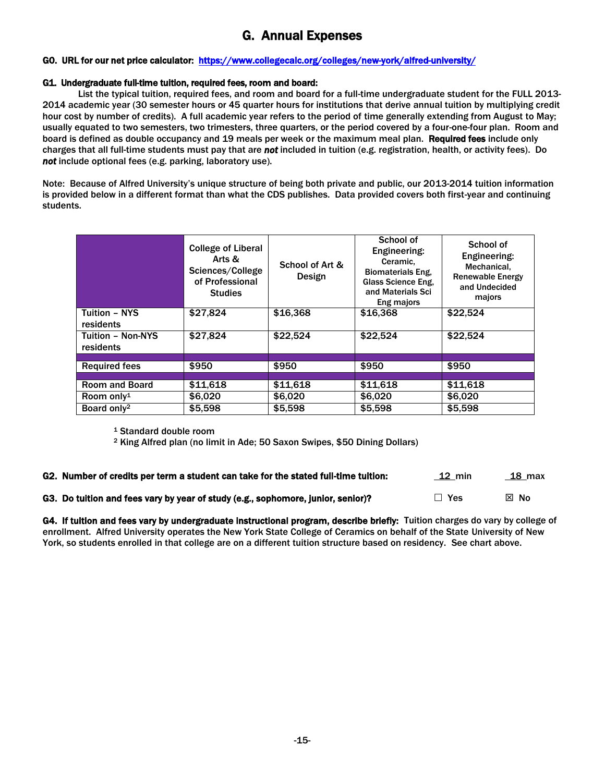# G. Annual Expenses

### G0. URL for our net price calculator: <https://www.collegecalc.org/colleges/new-york/alfred-university/>

#### G1. Undergraduate full-time tuition, required fees, room and board:

 2014 academic year (30 semester hours or 45 quarter hours for institutions that derive annual tuition by multiplying credit hour cost by number of credits). A full academic year refers to the period of time generally extending from August to May; usually equated to two semesters, two trimesters, three quarters, or the period covered by a four-one-four plan. Room and board is defined as double occupancy and 19 meals per week or the maximum meal plan. Required fees include only charges that all full-time students must pay that are *not* included in tuition (e.g. registration, health, or activity fees). Do *not* include optional fees (e.g. parking, laboratory use). List the typical tuition, required fees, and room and board for a full-time undergraduate student for the FULL 2013-

 Note: Because of Alfred University's unique structure of being both private and public, our 2013-2014 tuition information is provided below in a different format than what the CDS publishes. Data provided covers both first-year and continuing students.

|                                       | <b>College of Liberal</b><br>Arts &<br>Sciences/College | School of Art & | School of<br>Engineering:<br>Ceramic.<br><b>Biomaterials Eng.</b> | School of<br>Engineering:<br>Mechanical,           |
|---------------------------------------|---------------------------------------------------------|-----------------|-------------------------------------------------------------------|----------------------------------------------------|
|                                       | of Professional<br><b>Studies</b>                       | Design          | Glass Science Eng.<br>and Materials Sci<br>Eng majors             | <b>Renewable Energy</b><br>and Undecided<br>majors |
| <b>Tuition - NYS</b><br>residents     | \$27.824                                                | \$16,368        | \$16,368                                                          | \$22.524                                           |
| <b>Tuition - Non-NYS</b><br>residents | \$27,824                                                | \$22,524        | \$22,524                                                          | \$22,524                                           |
|                                       | \$950                                                   | \$950           | \$950                                                             | \$950                                              |
| <b>Required fees</b>                  |                                                         |                 |                                                                   |                                                    |
| <b>Room and Board</b>                 | \$11,618                                                | \$11,618        | \$11,618                                                          | \$11,618                                           |
| Room only <sup>1</sup>                | \$6.020                                                 | \$6,020         | \$6,020                                                           | \$6,020                                            |
| Board only <sup>2</sup>               | \$5,598                                                 | \$5,598         | \$5,598                                                           | \$5,598                                            |

1 Standard double room

2 King Alfred plan (no limit in Ade; 50 Saxon Swipes, \$50 Dining Dollars)

| G2. Number of credits per term a student can take for the stated full-time tuition: | $12 \text{ min}$ | 18 max         |
|-------------------------------------------------------------------------------------|------------------|----------------|
| G3. Do tuition and fees vary by year of study (e.g., sophomore, junior, senior)?    | $\Box$ Yes       | $\boxtimes$ No |

G4. If tuition and fees vary by undergraduate instructional program, describe briefly: Tuition charges do vary by college of enrollment. Alfred University operates the New York State College of Ceramics on behalf of the State University of New York, so students enrolled in that college are on a different tuition structure based on residency. See chart above.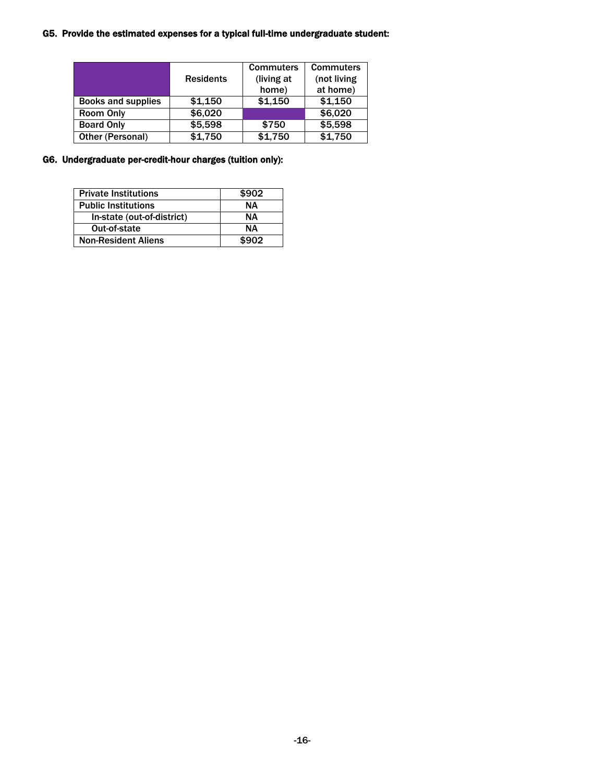#### G5. Provide the estimated expenses for a typical full-time undergraduate student:

|                           |                  | <b>Commuters</b> | <b>Commuters</b> |  |
|---------------------------|------------------|------------------|------------------|--|
|                           | <b>Residents</b> | (living at       | (not living      |  |
|                           |                  | home)            | at home)         |  |
| <b>Books and supplies</b> | \$1.150          | \$1,150          | \$1,150          |  |
| <b>Room Only</b>          | \$6,020          |                  | \$6,020          |  |
| <b>Board Only</b>         | \$5,598          | \$750            | \$5,598          |  |
| Other (Personal)          | \$1,750          | \$1,750          | \$1,750          |  |

#### G6. Undergraduate per-credit-hour charges (tuition only):

| <b>Private Institutions</b> | \$902 |
|-----------------------------|-------|
| <b>Public Institutions</b>  | NΔ    |
| In-state (out-of-district)  | NΔ    |
| Out-of-state                | NΔ    |
| <b>Non-Resident Aliens</b>  | \$902 |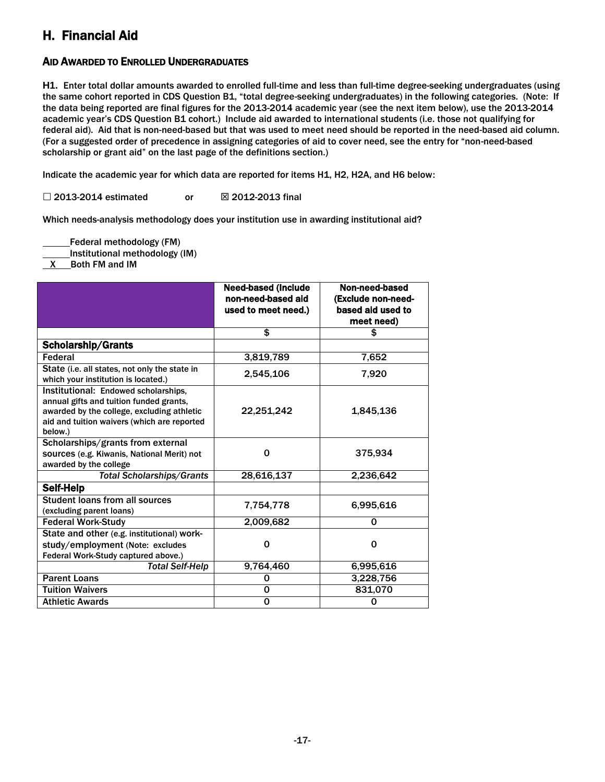# H. Financial Aid

# AID AWARDED TO ENROLLED UNDERGRADUATES

 **H1.** Enter total dollar amounts awarded to enrolled full-time and less than full-time degree-seeking undergraduates (using the same cohort reported in CDS Question B1, "total degree-seeking undergraduates) in the following categories. (Note: If the data being reported are final figures for the 2013-2014 academic year (see the next item below), use the 2013-2014 academic year's CDS Question B1 cohort.) Include aid awarded to international students (i.e. those not qualifying for federal aid). Aid that is non-need-based but that was used to meet need should be reported in the need-based aid column. (For a suggested order of precedence in assigning categories of aid to cover need, see the entry for "non-need-based scholarship or grant aid" on the last page of the definitions section.)

Indicate the academic year for which data are reported for items H1, H2, H2A, and H6 below:

 $\square$  2013-2014 estimated or  $\square$  2012-2013 final

Which needs-analysis methodology does your institution use in awarding institutional aid?

Federal methodology (FM)

Institutional methodology (IM)

X Both FM and IM

l l

|                                                                                                                                                                                         | <b>Need-based (Include</b><br>non-need-based aid<br>used to meet need.) | Non-need-based<br>(Exclude non-need-<br>based aid used to |
|-----------------------------------------------------------------------------------------------------------------------------------------------------------------------------------------|-------------------------------------------------------------------------|-----------------------------------------------------------|
|                                                                                                                                                                                         |                                                                         | meet need)                                                |
|                                                                                                                                                                                         | \$                                                                      | \$                                                        |
| Scholarship/Grants                                                                                                                                                                      |                                                                         |                                                           |
| Federal                                                                                                                                                                                 | 3,819,789                                                               | 7,652                                                     |
| State (i.e. all states, not only the state in<br>which your institution is located.)                                                                                                    | 2,545,106                                                               | 7,920                                                     |
| Institutional: Endowed scholarships,<br>annual gifts and tuition funded grants,<br>awarded by the college, excluding athletic<br>aid and tuition waivers (which are reported<br>below.) | 22,251,242                                                              | 1,845,136                                                 |
| Scholarships/grants from external                                                                                                                                                       |                                                                         |                                                           |
| sources (e.g. Kiwanis, National Merit) not                                                                                                                                              | 0                                                                       | 375,934                                                   |
| awarded by the college                                                                                                                                                                  |                                                                         |                                                           |
| <b>Total Scholarships/Grants</b>                                                                                                                                                        | 28,616,137                                                              | 2,236,642                                                 |
| Self-Help                                                                                                                                                                               |                                                                         |                                                           |
| <b>Student loans from all sources</b><br>(excluding parent loans)                                                                                                                       | 7,754,778                                                               | 6.995.616                                                 |
| <b>Federal Work-Study</b>                                                                                                                                                               | 2,009,682                                                               | $\Omega$                                                  |
| State and other (e.g. institutional) work-<br>study/employment (Note: excludes<br>Federal Work-Study captured above.)                                                                   | 0                                                                       | 0                                                         |
| <b>Total Self-Help</b>                                                                                                                                                                  | 9,764,460                                                               | 6,995,616                                                 |
| <b>Parent Loans</b>                                                                                                                                                                     | 0                                                                       | 3,228,756                                                 |
| <b>Tuition Waivers</b>                                                                                                                                                                  | 0                                                                       | 831,070                                                   |
| <b>Athletic Awards</b>                                                                                                                                                                  | 0                                                                       | 0                                                         |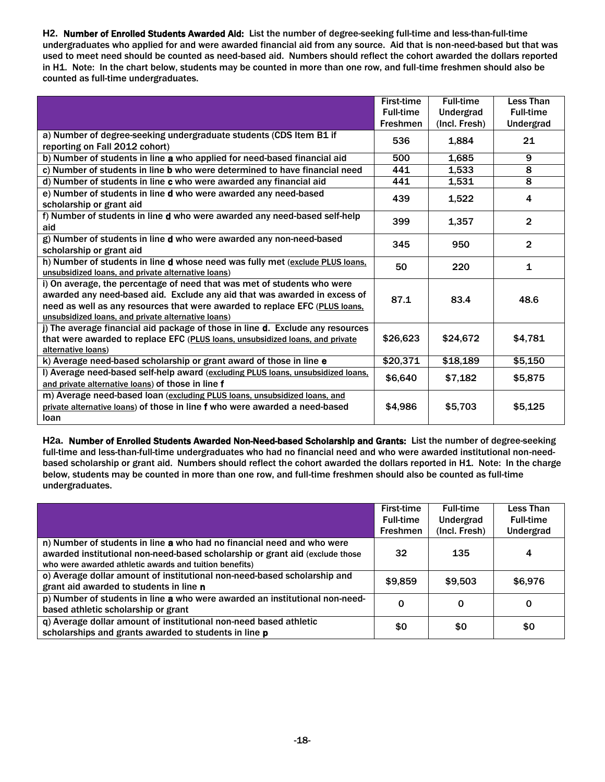**H2.** Number of Enrolled Students Awarded Aid: List the number of degree-seeking full-time and less-than-full-time undergraduates who applied for and were awarded financial aid from any source. Aid that is non-need-based but that was used to meet need should be counted as need-based aid. Numbers should reflect the cohort awarded the dollars reported in H1. Note: In the chart below, students may be counted in more than one row, and full-time freshmen should also be counted as full-time undergraduates.

|                                                                                                                                                                                                                                                                                           | First-time       | <b>Full-time</b> | Less Than               |
|-------------------------------------------------------------------------------------------------------------------------------------------------------------------------------------------------------------------------------------------------------------------------------------------|------------------|------------------|-------------------------|
|                                                                                                                                                                                                                                                                                           | <b>Full-time</b> | Undergrad        | <b>Full-time</b>        |
|                                                                                                                                                                                                                                                                                           | <b>Freshmen</b>  | (Incl. Fresh)    | Undergrad               |
| a) Number of degree-seeking undergraduate students (CDS Item B1 if<br>reporting on Fall 2012 cohort)                                                                                                                                                                                      | 536              | 1,884            | 21                      |
| b) Number of students in line a who applied for need-based financial aid                                                                                                                                                                                                                  | 500              | 1,685            | 9                       |
| c) Number of students in line b who were determined to have financial need                                                                                                                                                                                                                | 441              | 1,533            | $\overline{\mathbf{8}}$ |
| d) Number of students in line c who were awarded any financial aid                                                                                                                                                                                                                        | 441              | 1,531            | 8                       |
| e) Number of students in line d who were awarded any need-based<br>scholarship or grant aid                                                                                                                                                                                               | 439              | 1,522            | 4                       |
| f) Number of students in line d who were awarded any need-based self-help<br>aid                                                                                                                                                                                                          | 399              | 1,357            | $\overline{2}$          |
| g) Number of students in line d who were awarded any non-need-based<br>scholarship or grant aid                                                                                                                                                                                           | 345              | 950              | $\overline{2}$          |
| h) Number of students in line d whose need was fully met (exclude PLUS loans,<br>unsubsidized loans, and private alternative loans)                                                                                                                                                       | 50               | 220              | $\mathbf{1}$            |
| i) On average, the percentage of need that was met of students who were<br>awarded any need-based aid. Exclude any aid that was awarded in excess of<br>need as well as any resources that were awarded to replace EFC (PLUS loans.<br>unsubsidized loans, and private alternative loans) | 87.1             | 83.4             | 48.6                    |
| j) The average financial aid package of those in line d. Exclude any resources<br>that were awarded to replace EFC (PLUS loans, unsubsidized loans, and private<br>alternative loans)                                                                                                     | \$26,623         | \$24,672         | \$4,781                 |
| k) Average need-based scholarship or grant award of those in line e                                                                                                                                                                                                                       | \$20,371         | \$18,189         | \$5,150                 |
| I) Average need-based self-help award (excluding PLUS loans, unsubsidized loans,<br>and private alternative loans) of those in line f                                                                                                                                                     | \$6,640          | \$7,182          | \$5,875                 |
| m) Average need-based loan (excluding PLUS loans, unsubsidized loans, and<br>private alternative loans) of those in line f who were awarded a need-based<br>loan                                                                                                                          | \$4,986          | \$5,703          | \$5,125                 |

 **H2a.** Number of Enrolled Students Awarded Non-Need-based Scholarship and Grants: List the number of degree-seeking full-time and less-than-full-time undergraduates who had no financial need and who were awarded institutional non-need- based scholarship or grant aid. Numbers should reflect the cohort awarded the dollars reported in H1. Note: In the charge below, students may be counted in more than one row, and full-time freshmen should also be counted as full-time undergraduates.

|                                                                              | First-time       | <b>Full-time</b> | Less Than        |
|------------------------------------------------------------------------------|------------------|------------------|------------------|
|                                                                              | <b>Full-time</b> | Undergrad        | <b>Full-time</b> |
|                                                                              | Freshmen         | (Incl. Fresh)    | Undergrad        |
| n) Number of students in line a who had no financial need and who were       |                  |                  |                  |
| awarded institutional non-need-based scholarship or grant aid (exclude those | 32               | 135              | 4                |
| who were awarded athletic awards and tuition benefits)                       |                  |                  |                  |
| o) Average dollar amount of institutional non-need-based scholarship and     | \$9,859          | \$9,503          | \$6,976          |
| grant aid awarded to students in line n                                      |                  |                  |                  |
| p) Number of students in line a who were awarded an institutional non-need-  | O                | 0                | 0                |
| based athletic scholarship or grant                                          |                  |                  |                  |
| q) Average dollar amount of institutional non-need based athletic            | \$0              | \$0              | \$0              |
| scholarships and grants awarded to students in line p                        |                  |                  |                  |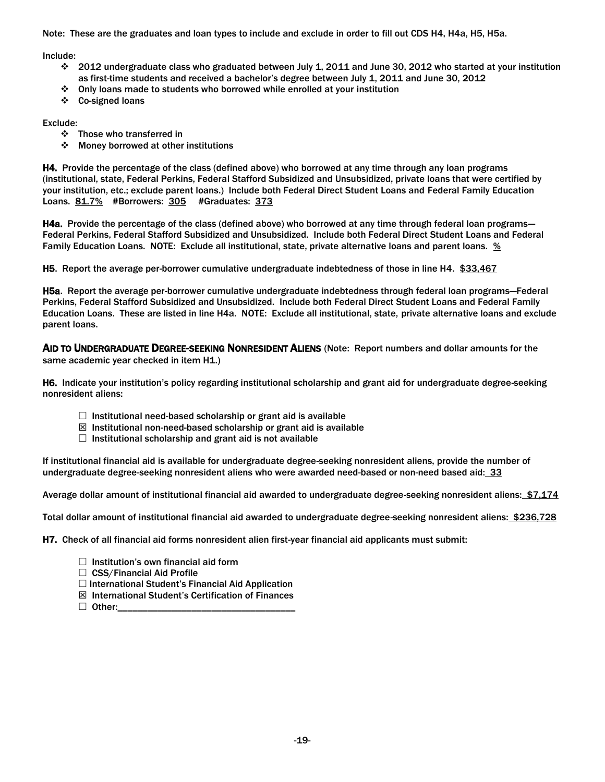Note: These are the graduates and loan types to include and exclude in order to fill out CDS H4, H4a, H5, H5a.

Include:

- 2012 undergraduate class who graduated between July 1, 2011 and June 30, 2012 who started at your institution as first-time students and received a bachelor's degree between July 1, 2011 and June 30, 2012
- Only loans made to students who borrowed while enrolled at your institution
- Co-signed loans

Exclude:

- Those who transferred in
- ❖ Money borrowed at other institutions

H4. Provide the percentage of the class (defined above) who borrowed at any time through any loan programs (institutional, state, Federal Perkins, Federal Stafford Subsidized and Unsubsidized, private loans that were certified by your institution, etc.; exclude parent loans.) Include both Federal Direct Student Loans and Federal Family Education Loans. 81.7% #Borrowers: 305 #Graduates: 373

H4a. Provide the percentage of the class (defined above) who borrowed at any time through federal loan programs— Federal Perkins, Federal Stafford Subsidized and Unsubsidized. Include both Federal Direct Student Loans and Federal Family Education Loans. NOTE: Exclude all institutional, state, private alternative loans and parent loans.  $\frac{96}{2}$ 

H5. Report the average per-borrower cumulative undergraduate indebtedness of those in line H4. \$33,467

H5a. Report the average per-borrower cumulative undergraduate indebtedness through federal loan programs—Federal Perkins, Federal Stafford Subsidized and Unsubsidized. Include both Federal Direct Student Loans and Federal Family Education Loans. These are listed in line H4a. NOTE: Exclude all institutional, state, private alternative loans and exclude parent loans.

AID TO UNDERGRADUATE DEGREE-SEEKING NONRESIDENT ALIENS (Note: Report numbers and dollar amounts for the same academic year checked in item H1.)

H6. Indicate your institution's policy regarding institutional scholarship and grant aid for undergraduate degree-seeking nonresident aliens:

- $\Box$  Institutional need-based scholarship or grant aid is available
- $\boxtimes$  Institutional non-need-based scholarship or grant aid is available
- $\Box$  Institutional scholarship and grant aid is not available

 If institutional financial aid is available for undergraduate degree-seeking nonresident aliens, provide the number of undergraduate degree-seeking nonresident aliens who were awarded need-based or non-need based aid: 33

Average dollar amount of institutional financial aid awarded to undergraduate degree-seeking nonresident aliens: \$7,174

Total dollar amount of institutional financial aid awarded to undergraduate degree-seeking nonresident aliens: \$236,728

H7. Check of all financial aid forms nonresident alien first-year financial aid applicants must submit:

- $\Box$  Institution's own financial aid form
- $\Box$  CSS/Financial Aid Profile
- $\Box$  International Student's Financial Aid Application
- International Student's Certification of Finances
- Other:\_\_\_\_\_\_\_\_\_\_\_\_\_\_\_\_\_\_\_\_\_\_\_\_\_\_\_\_\_\_\_\_\_\_\_\_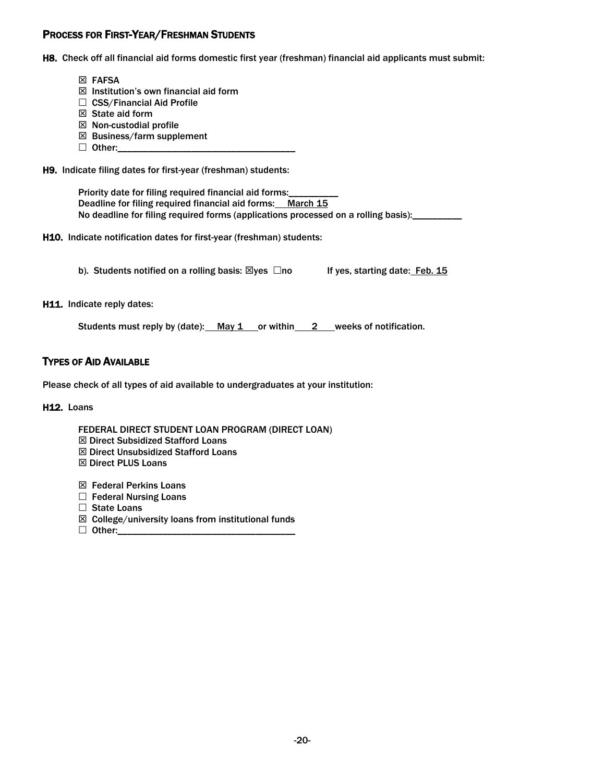# PROCESS FOR FIRST-YEAR/FRESHMAN STUDENTS

H8. Check off all financial aid forms domestic first year (freshman) financial aid applicants must submit:

- ⊠ FAFSA
- $\boxtimes$  Institution's own financial aid form
- $\Box$  CSS/Financial Aid Profile
- $\boxtimes$  State aid form
- $\boxtimes$  Non-custodial profile
- $\boxtimes$  Business/farm supplement
- Other:\_\_\_\_\_\_\_\_\_\_\_\_\_\_\_\_\_\_\_\_\_\_\_\_\_\_\_\_\_\_\_\_\_\_\_\_

H9. Indicate filing dates for first-year (freshman) students:

Priority date for filing required financial aid forms:\_\_\_\_\_\_\_\_\_\_\_ Deadline for filing required financial aid forms: March 15 No deadline for filing required forms (applications processed on a rolling basis): \_\_\_\_\_\_\_\_\_

H10. Indicate notification dates for first-year (freshman) students:

b). Students notified on a rolling basis:  $\boxtimes$ yes  $\Box$ no If yes, starting date: Feb. 15

H11. Indicate reply dates:

Students must reply by (date):  $\frac{May \, 1}{2}$  or within 2 weeks of notification.

# TYPES OF AID AVAILABLE

Please check of all types of aid available to undergraduates at your institution:

**H12. Loans** 

FEDERAL DIRECT STUDENT LOAN PROGRAM (DIRECT LOAN)

- Direct Subsidized Stafford Loans
- $⊠$  **Direct Unsubsidized Stafford Loans**
- $⊠$  **Direct PLUS Loans**
- Federal Perkins Loans
- □ Federal Nursing Loans
- □ State Loans
- $\boxtimes$  College/university loans from institutional funds
- Other:\_\_\_\_\_\_\_\_\_\_\_\_\_\_\_\_\_\_\_\_\_\_\_\_\_\_\_\_\_\_\_\_\_\_\_\_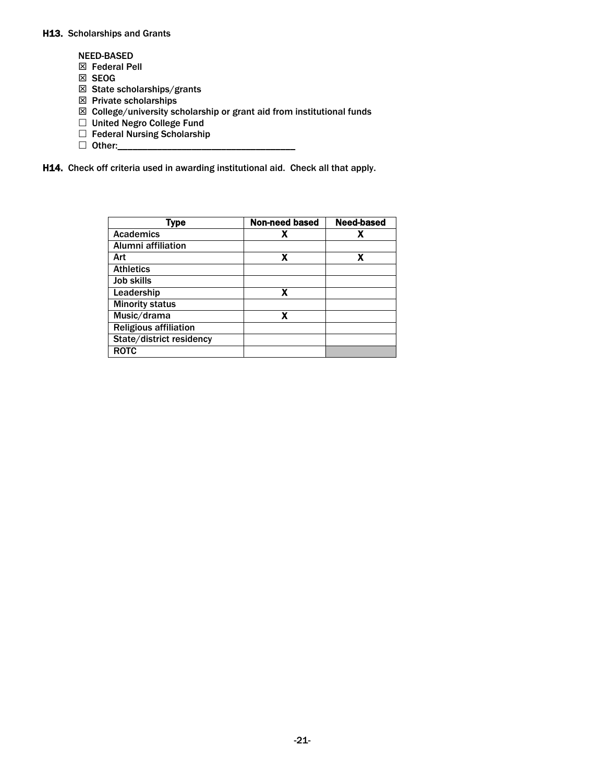#### H13. Scholarships and Grants

- NEED-BASED
- Federal Pell
- ⊠ SEOG
- $\boxtimes$  State scholarships/grants
- $\boxtimes$  Private scholarships
- $\boxtimes$  College/university scholarship or grant aid from institutional funds
- □ United Negro College Fund
- $\Box$  Federal Nursing Scholarship
- Other:\_\_\_\_\_\_\_\_\_\_\_\_\_\_\_\_\_\_\_\_\_\_\_\_\_\_\_\_\_\_\_\_\_\_\_\_

H14. Check off criteria used in awarding institutional aid. Check all that apply.

| <b>Type</b>                  | Non-need based | <b>Need-based</b> |
|------------------------------|----------------|-------------------|
| <b>Academics</b>             |                |                   |
| <b>Alumni affiliation</b>    |                |                   |
| Art                          |                |                   |
| <b>Athletics</b>             |                |                   |
| <b>Job skills</b>            |                |                   |
| Leadership                   | x              |                   |
| <b>Minority status</b>       |                |                   |
| Music/drama                  | x              |                   |
| <b>Religious affiliation</b> |                |                   |
| State/district residency     |                |                   |
| <b>ROTC</b>                  |                |                   |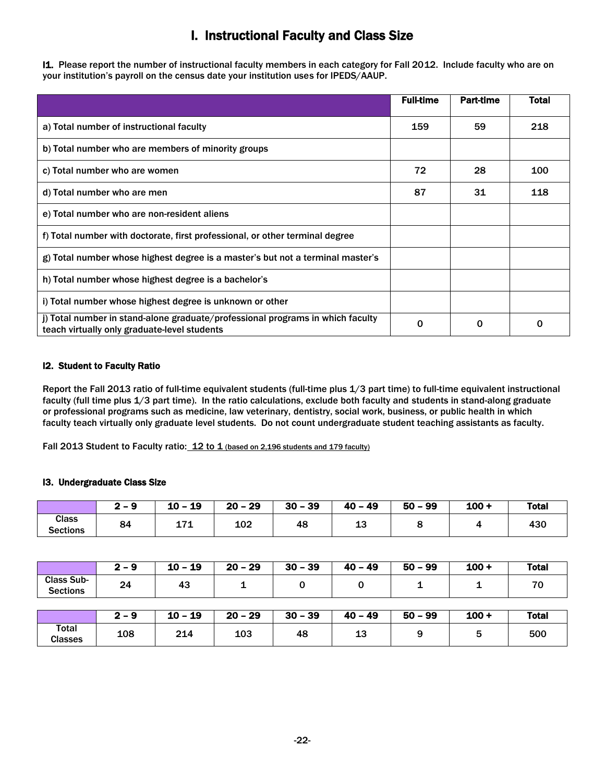# I. Instructional Faculty and Class Size

I1. Please report the number of instructional faculty members in each category for Fall 2012. Include faculty who are on your institution's payroll on the census date your institution uses for IPEDS/AAUP.

|                                                                                                                                | <b>Full-time</b> | <b>Part-time</b> | Total |
|--------------------------------------------------------------------------------------------------------------------------------|------------------|------------------|-------|
| a) Total number of instructional faculty                                                                                       | 159              | 59               | 218   |
| b) Total number who are members of minority groups                                                                             |                  |                  |       |
| c) Total number who are women                                                                                                  | 72               | 28               | 100   |
| d) Total number who are men                                                                                                    | 87               | 31               | 118   |
| e) Total number who are non-resident aliens                                                                                    |                  |                  |       |
| f) Total number with doctorate, first professional, or other terminal degree                                                   |                  |                  |       |
| g) Total number whose highest degree is a master's but not a terminal master's                                                 |                  |                  |       |
| h) Total number whose highest degree is a bachelor's                                                                           |                  |                  |       |
| i) Total number whose highest degree is unknown or other                                                                       |                  |                  |       |
| j) Total number in stand-alone graduate/professional programs in which faculty<br>teach virtually only graduate-level students | $\Omega$         | $\Omega$         | 0     |

#### I2. Student to Faculty Ratio

 Report the Fall 2013 ratio of full-time equivalent students (full-time plus 1/3 part time) to full-time equivalent instructional faculty (full time plus 1/3 part time). In the ratio calculations, exclude both faculty and students in stand-along graduate or professional programs such as medicine, law veterinary, dentistry, social work, business, or public health in which faculty teach virtually only graduate level students. Do not count undergraduate student teaching assistants as faculty.

Fall 2013 Student to Faculty ratio: 12 to 1 (based on 2,196 students and 179 faculty)

#### I3. Undergraduate Class Size

|                                 | $\blacksquare$ $\blacksquare$<br>$\sim$ | 19<br>10 - | 29<br>$20 -$ | $-39$<br>30 | - 49<br>40 | 99<br>50 | $100 +$ | Total |
|---------------------------------|-----------------------------------------|------------|--------------|-------------|------------|----------|---------|-------|
| <b>Class</b><br><b>Sections</b> | 84                                      | ٫.<br>---  | 102          | 48          | w          |          |         | 430   |

|                                      | $2 - 9$ | $10 - 19$ | $20 - 29$ | $30 - 39$ | $40 - 49$ | $50 - 99$ | $100 +$ | <b>Total</b> |
|--------------------------------------|---------|-----------|-----------|-----------|-----------|-----------|---------|--------------|
| <b>Class Sub-</b><br><b>Sections</b> | 24      | 43        |           |           |           | 1         |         | 70           |
|                                      |         |           |           |           |           |           |         |              |
|                                      |         |           |           |           |           |           |         |              |
|                                      | $2 - 9$ | $10 - 19$ | $20 - 29$ | $30 - 39$ | $40 - 49$ | $50 - 99$ | $100 +$ | <b>Total</b> |